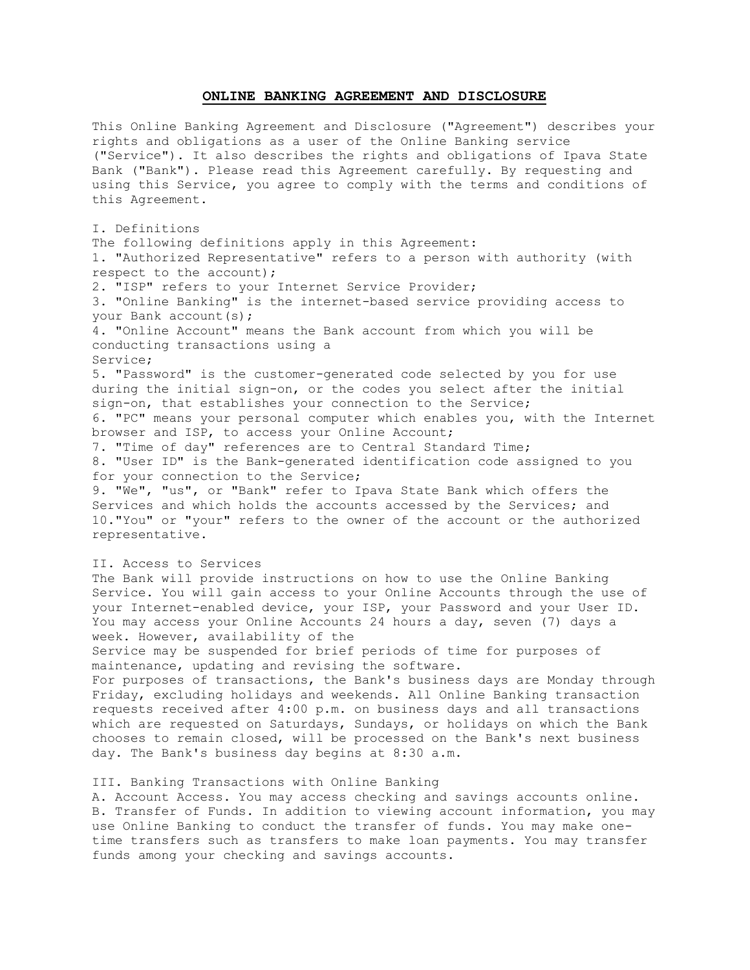# **ONLINE BANKING AGREEMENT AND DISCLOSURE**

This Online Banking Agreement and Disclosure ("Agreement") describes your rights and obligations as a user of the Online Banking service ("Service"). It also describes the rights and obligations of Ipava State Bank ("Bank"). Please read this Agreement carefully. By requesting and using this Service, you agree to comply with the terms and conditions of this Agreement.

I. Definitions The following definitions apply in this Agreement: 1. "Authorized Representative" refers to a person with authority (with respect to the account); 2. "ISP" refers to your Internet Service Provider; 3. "Online Banking" is the internet-based service providing access to your Bank account(s); 4. "Online Account" means the Bank account from which you will be conducting transactions using a Service; 5. "Password" is the customer-generated code selected by you for use during the initial sign-on, or the codes you select after the initial sign-on, that establishes your connection to the Service; 6. "PC" means your personal computer which enables you, with the Internet browser and ISP, to access your Online Account; 7. "Time of day" references are to Central Standard Time; 8. "User ID" is the Bank-generated identification code assigned to you for your connection to the Service; 9. "We", "us", or "Bank" refer to Ipava State Bank which offers the Services and which holds the accounts accessed by the Services; and 10."You" or "your" refers to the owner of the account or the authorized representative.

# II. Access to Services

The Bank will provide instructions on how to use the Online Banking Service. You will gain access to your Online Accounts through the use of your Internet-enabled device, your ISP, your Password and your User ID. You may access your Online Accounts 24 hours a day, seven (7) days a week. However, availability of the

Service may be suspended for brief periods of time for purposes of maintenance, updating and revising the software.

For purposes of transactions, the Bank's business days are Monday through Friday, excluding holidays and weekends. All Online Banking transaction requests received after 4:00 p.m. on business days and all transactions which are requested on Saturdays, Sundays, or holidays on which the Bank chooses to remain closed, will be processed on the Bank's next business day. The Bank's business day begins at 8:30 a.m.

## III. Banking Transactions with Online Banking

A. Account Access. You may access checking and savings accounts online. B. Transfer of Funds. In addition to viewing account information, you may use Online Banking to conduct the transfer of funds. You may make onetime transfers such as transfers to make loan payments. You may transfer funds among your checking and savings accounts.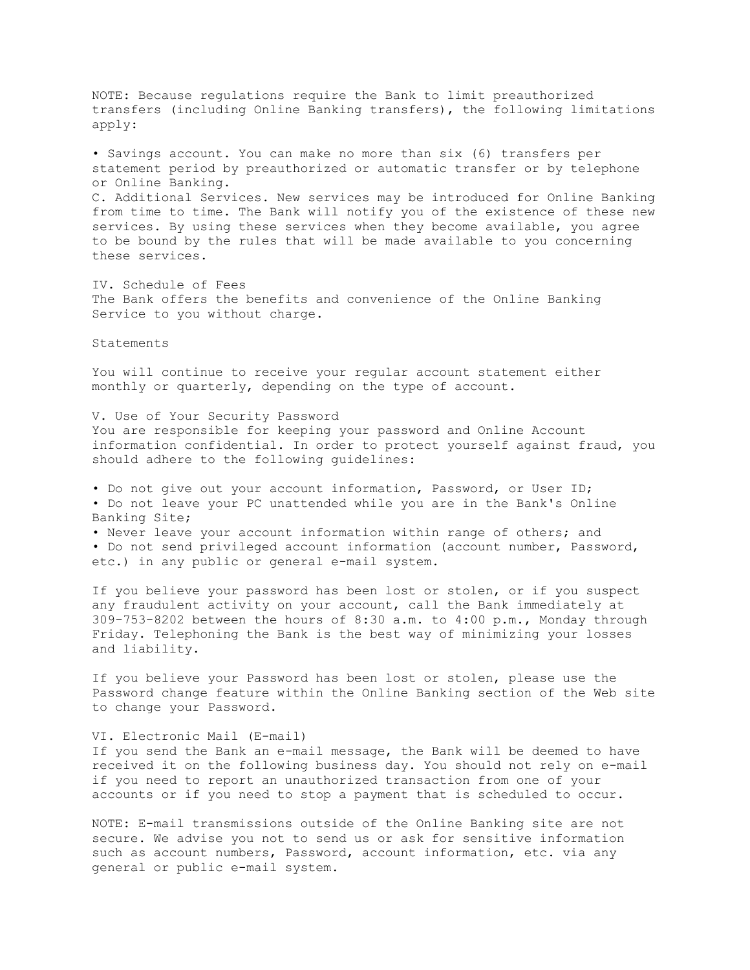NOTE: Because regulations require the Bank to limit preauthorized transfers (including Online Banking transfers), the following limitations apply: • Savings account. You can make no more than six (6) transfers per statement period by preauthorized or automatic transfer or by telephone or Online Banking. C. Additional Services. New services may be introduced for Online Banking from time to time. The Bank will notify you of the existence of these new services. By using these services when they become available, you agree to be bound by the rules that will be made available to you concerning these services. IV. Schedule of Fees The Bank offers the benefits and convenience of the Online Banking Service to you without charge. Statements You will continue to receive your regular account statement either monthly or quarterly, depending on the type of account. V. Use of Your Security Password You are responsible for keeping your password and Online Account information confidential. In order to protect yourself against fraud, you should adhere to the following guidelines: • Do not give out your account information, Password, or User ID; • Do not leave your PC unattended while you are in the Bank's Online Banking Site; • Never leave your account information within range of others; and • Do not send privileged account information (account number, Password, etc.) in any public or general e-mail system. If you believe your password has been lost or stolen, or if you suspect any fraudulent activity on your account, call the Bank immediately at 309-753-8202 between the hours of 8:30 a.m. to 4:00 p.m., Monday through Friday. Telephoning the Bank is the best way of minimizing your losses and liability. If you believe your Password has been lost or stolen, please use the Password change feature within the Online Banking section of the Web site to change your Password. VI. Electronic Mail (E-mail) If you send the Bank an e-mail message, the Bank will be deemed to have received it on the following business day. You should not rely on e-mail if you need to report an unauthorized transaction from one of your

NOTE: E-mail transmissions outside of the Online Banking site are not secure. We advise you not to send us or ask for sensitive information such as account numbers, Password, account information, etc. via any general or public e-mail system.

accounts or if you need to stop a payment that is scheduled to occur.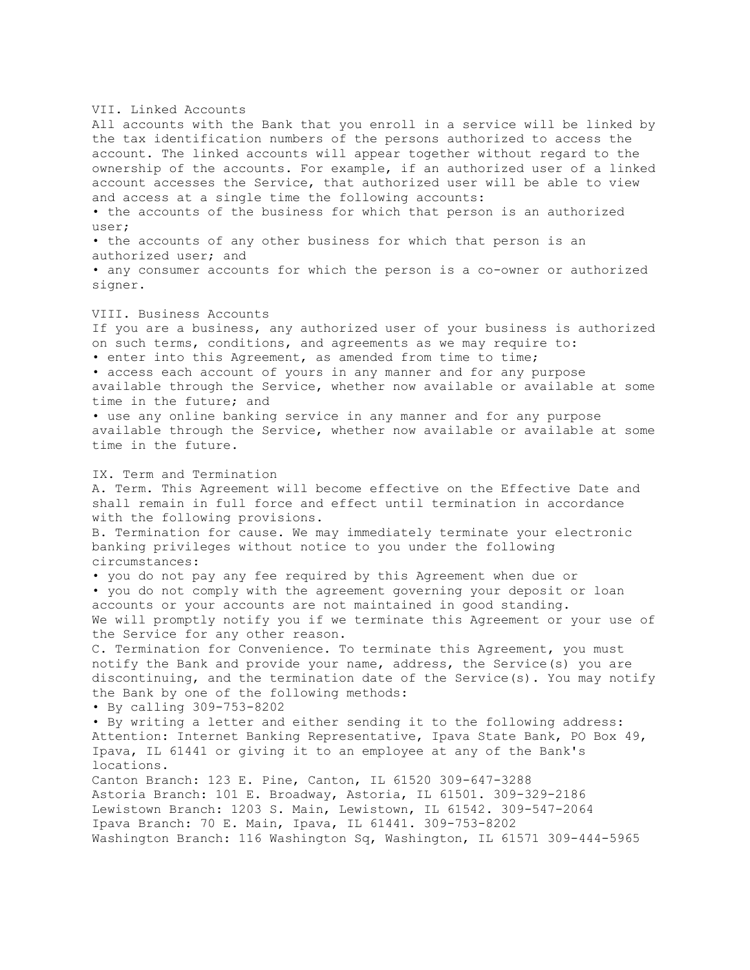#### VII. Linked Accounts

All accounts with the Bank that you enroll in a service will be linked by the tax identification numbers of the persons authorized to access the account. The linked accounts will appear together without regard to the ownership of the accounts. For example, if an authorized user of a linked account accesses the Service, that authorized user will be able to view and access at a single time the following accounts:

• the accounts of the business for which that person is an authorized user;

• the accounts of any other business for which that person is an authorized user; and

• any consumer accounts for which the person is a co-owner or authorized signer.

### VIII. Business Accounts

If you are a business, any authorized user of your business is authorized on such terms, conditions, and agreements as we may require to: • enter into this Agreement, as amended from time to time;

• access each account of yours in any manner and for any purpose available through the Service, whether now available or available at some time in the future; and

• use any online banking service in any manner and for any purpose available through the Service, whether now available or available at some time in the future.

## IX. Term and Termination

A. Term. This Agreement will become effective on the Effective Date and shall remain in full force and effect until termination in accordance with the following provisions.

B. Termination for cause. We may immediately terminate your electronic banking privileges without notice to you under the following circumstances:

• you do not pay any fee required by this Agreement when due or

• you do not comply with the agreement governing your deposit or loan accounts or your accounts are not maintained in good standing. We will promptly notify you if we terminate this Agreement or your use of the Service for any other reason.

C. Termination for Convenience. To terminate this Agreement, you must notify the Bank and provide your name, address, the Service(s) you are discontinuing, and the termination date of the Service(s). You may notify the Bank by one of the following methods:

• By calling 309-753-8202

• By writing a letter and either sending it to the following address: Attention: Internet Banking Representative, Ipava State Bank, PO Box 49, Ipava, IL 61441 or giving it to an employee at any of the Bank's locations.

Canton Branch: 123 E. Pine, Canton, IL 61520 309-647-3288 Astoria Branch: 101 E. Broadway, Astoria, IL 61501. 309-329-2186 Lewistown Branch: 1203 S. Main, Lewistown, IL 61542. 309-547-2064 Ipava Branch: 70 E. Main, Ipava, IL 61441. 309-753-8202 Washington Branch: 116 Washington Sq, Washington, IL 61571 309-444-5965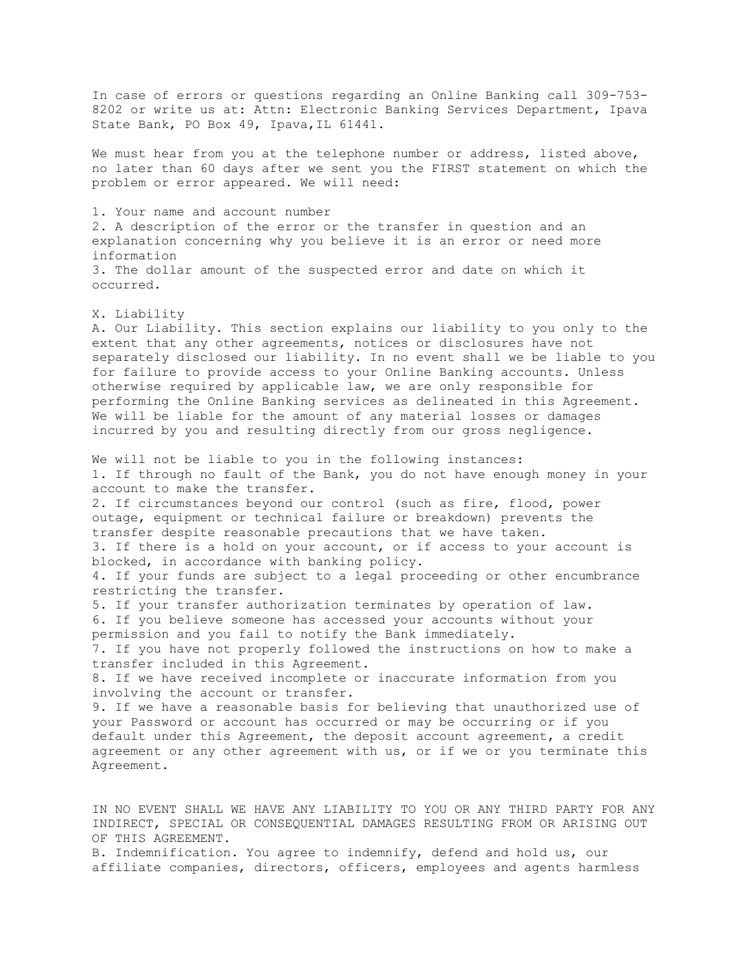In case of errors or questions regarding an Online Banking call 309-753- 8202 or write us at: Attn: Electronic Banking Services Department, Ipava State Bank, PO Box 49, Ipava,IL 61441.

We must hear from you at the telephone number or address, listed above, no later than 60 days after we sent you the FIRST statement on which the problem or error appeared. We will need:

1. Your name and account number 2. A description of the error or the transfer in question and an explanation concerning why you believe it is an error or need more information 3. The dollar amount of the suspected error and date on which it occurred.

X. Liability A. Our Liability. This section explains our liability to you only to the extent that any other agreements, notices or disclosures have not separately disclosed our liability. In no event shall we be liable to you for failure to provide access to your Online Banking accounts. Unless otherwise required by applicable law, we are only responsible for performing the Online Banking services as delineated in this Agreement. We will be liable for the amount of any material losses or damages incurred by you and resulting directly from our gross negligence.

We will not be liable to you in the following instances: 1. If through no fault of the Bank, you do not have enough money in your account to make the transfer. 2. If circumstances beyond our control (such as fire, flood, power outage, equipment or technical failure or breakdown) prevents the transfer despite reasonable precautions that we have taken. 3. If there is a hold on your account, or if access to your account is blocked, in accordance with banking policy. 4. If your funds are subject to a legal proceeding or other encumbrance restricting the transfer. 5. If your transfer authorization terminates by operation of law. 6. If you believe someone has accessed your accounts without your permission and you fail to notify the Bank immediately. 7. If you have not properly followed the instructions on how to make a transfer included in this Agreement. 8. If we have received incomplete or inaccurate information from you involving the account or transfer. 9. If we have a reasonable basis for believing that unauthorized use of your Password or account has occurred or may be occurring or if you default under this Agreement, the deposit account agreement, a credit agreement or any other agreement with us, or if we or you terminate this Agreement.

IN NO EVENT SHALL WE HAVE ANY LIABILITY TO YOU OR ANY THIRD PARTY FOR ANY INDIRECT, SPECIAL OR CONSEQUENTIAL DAMAGES RESULTING FROM OR ARISING OUT OF THIS AGREEMENT. B. Indemnification. You agree to indemnify, defend and hold us, our affiliate companies, directors, officers, employees and agents harmless